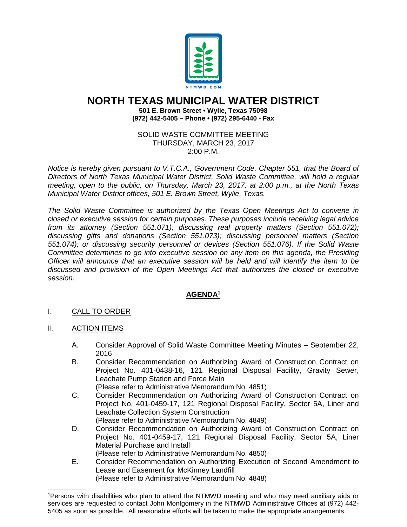

## **NORTH TEXAS MUNICIPAL WATER DISTRICT**

**501 E. Brown Street • Wylie, Texas 75098 (972) 442-5405 – Phone • (972) 295-6440 - Fax**

SOLID WASTE COMMITTEE MEETING THURSDAY, MARCH 23, 2017 2:00 P.M.

*Notice is hereby given pursuant to V.T.C.A., Government Code, Chapter 551, that the Board of Directors of North Texas Municipal Water District, Solid Waste Committee, will hold a regular meeting, open to the public, on Thursday, March 23, 2017, at 2:00 p.m., at the North Texas Municipal Water District offices, 501 E. Brown Street, Wylie, Texas.*

*The Solid Waste Committee is authorized by the Texas Open Meetings Act to convene in closed or executive session for certain purposes. These purposes include receiving legal advice from its attorney (Section 551.071); discussing real property matters (Section 551.072); discussing gifts and donations (Section 551.073); discussing personnel matters (Section 551.074); or discussing security personnel or devices (Section 551.076). If the Solid Waste Committee determines to go into executive session on any item on this agenda, the Presiding Officer will announce that an executive session will be held and will identify the item to be discussed and provision of the Open Meetings Act that authorizes the closed or executive session.*

## **AGENDA1**

- I. CALL TO ORDER
- II. ACTION ITEMS

\_\_\_\_\_\_\_\_\_\_\_\_\_\_\_\_

- A. Consider Approval of Solid Waste Committee Meeting Minutes September 22, 2016
- B. Consider Recommendation on Authorizing Award of Construction Contract on Project No. 401-0438-16, 121 Regional Disposal Facility, Gravity Sewer, Leachate Pump Station and Force Main
	- (Please refer to Administrative Memorandum No. 4851)
- C. Consider Recommendation on Authorizing Award of Construction Contract on Project No. 401-0459-17, 121 Regional Disposal Facility, Sector 5A, Liner and Leachate Collection System Construction
	- (Please refer to Administrative Memorandum No. 4849)
- D. Consider Recommendation on Authorizing Award of Construction Contract on Project No. 401-0459-17, 121 Regional Disposal Facility, Sector 5A, Liner Material Purchase and Install (Please refer to Administrative Memorandum No. 4850)
- E. Consider Recommendation on Authorizing Execution of Second Amendment to Lease and Easement for McKinney Landfill (Please refer to Administrative Memorandum No. 4848)

<sup>1</sup>Persons with disabilities who plan to attend the NTMWD meeting and who may need auxiliary aids or services are requested to contact John Montgomery in the NTMWD Administrative Offices at (972) 442- 5405 as soon as possible. All reasonable efforts will be taken to make the appropriate arrangements.